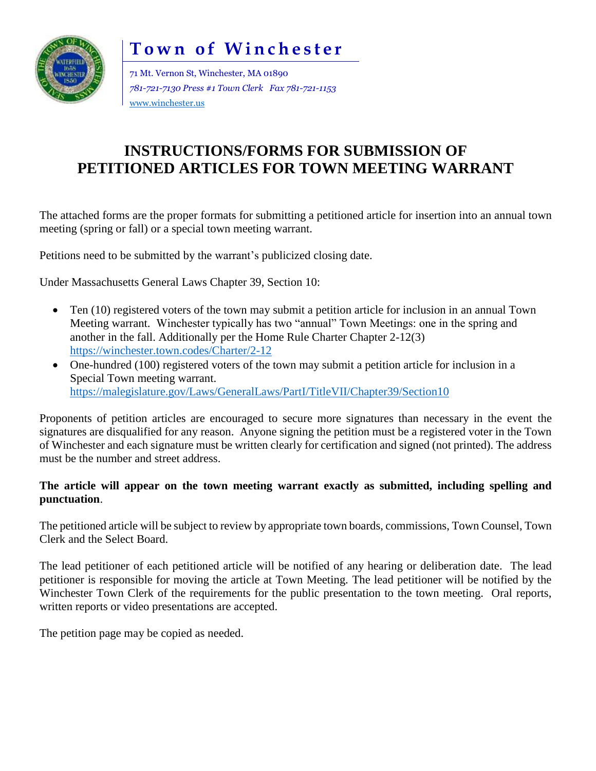# **Town of Winchester**



71 Mt. Vernon St, Winchester, MA 01890 *781-721-7130 Press #1 Town Clerk Fax 781-721-1153* [www.winchester.us](http://www.winchester.us/)

## **INSTRUCTIONS/FORMS FOR SUBMISSION OF PETITIONED ARTICLES FOR TOWN MEETING WARRANT**

The attached forms are the proper formats for submitting a petitioned article for insertion into an annual town meeting (spring or fall) or a special town meeting warrant.

Petitions need to be submitted by the warrant's publicized closing date.

Under Massachusetts General Laws Chapter 39, Section 10:

- Ten (10) registered voters of the town may submit a petition article for inclusion in an annual Town Meeting warrant. Winchester typically has two "annual" Town Meetings: one in the spring and another in the fall. Additionally per the Home Rule Charter Chapter 2-12(3) <https://winchester.town.codes/Charter/2-12>
- One-hundred (100) registered voters of the town may submit a petition article for inclusion in a Special Town meeting warrant. <https://malegislature.gov/Laws/GeneralLaws/PartI/TitleVII/Chapter39/Section10>

Proponents of petition articles are encouraged to secure more signatures than necessary in the event the signatures are disqualified for any reason. Anyone signing the petition must be a registered voter in the Town of Winchester and each signature must be written clearly for certification and signed (not printed). The address must be the number and street address.

#### **The article will appear on the town meeting warrant exactly as submitted, including spelling and punctuation**.

The petitioned article will be subject to review by appropriate town boards, commissions, Town Counsel, Town Clerk and the Select Board.

The lead petitioner of each petitioned article will be notified of any hearing or deliberation date. The lead petitioner is responsible for moving the article at Town Meeting. The lead petitioner will be notified by the Winchester Town Clerk of the requirements for the public presentation to the town meeting. Oral reports, written reports or video presentations are accepted.

The petition page may be copied as needed.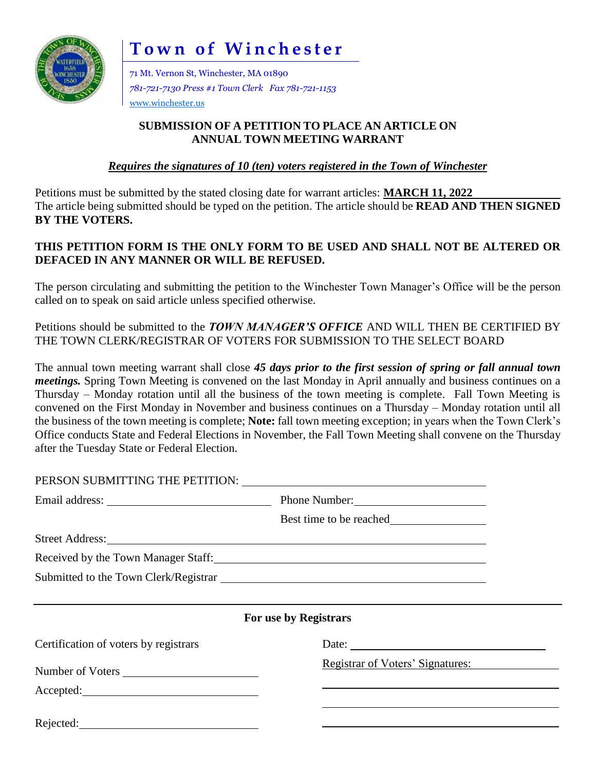

**Town of Winchester** 

71 Mt. Vernon St, Winchester, MA 01890 *781-721-7130 Press #1 Town Clerk Fax 781-721-1153* [www.winchester.us](http://www.winchester.us/)

#### **SUBMISSION OF A PETITION TO PLACE AN ARTICLE ON ANNUAL TOWN MEETING WARRANT**

*Requires the signatures of 10 (ten) voters registered in the Town of Winchester*

Petitions must be submitted by the stated closing date for warrant articles: **MARCH 11, 2022** The article being submitted should be typed on the petition. The article should be **READ AND THEN SIGNED BY THE VOTERS.**

### **THIS PETITION FORM IS THE ONLY FORM TO BE USED AND SHALL NOT BE ALTERED OR DEFACED IN ANY MANNER OR WILL BE REFUSED.**

The person circulating and submitting the petition to the Winchester Town Manager's Office will be the person called on to speak on said article unless specified otherwise.

Petitions should be submitted to the *TOWN MANAGER'S OFFICE* AND WILL THEN BE CERTIFIED BY THE TOWN CLERK/REGISTRAR OF VOTERS FOR SUBMISSION TO THE SELECT BOARD

The annual town meeting warrant shall close *45 days prior to the first session of spring or fall annual town meetings.* Spring Town Meeting is convened on the last Monday in April annually and business continues on a Thursday – Monday rotation until all the business of the town meeting is complete. Fall Town Meeting is convened on the First Monday in November and business continues on a Thursday – Monday rotation until all the business of the town meeting is complete; **Note:** fall town meeting exception; in years when the Town Clerk's Office conducts State and Federal Elections in November, the Fall Town Meeting shall convene on the Thursday after the Tuesday State or Federal Election.

| PERSON SUBMITTING THE PETITION: University of the SUBMITTING THE PETITION:                                                                                                                                                     |                                         |  |  |  |  |
|--------------------------------------------------------------------------------------------------------------------------------------------------------------------------------------------------------------------------------|-----------------------------------------|--|--|--|--|
|                                                                                                                                                                                                                                | Phone Number:                           |  |  |  |  |
|                                                                                                                                                                                                                                |                                         |  |  |  |  |
| Street Address: No. 1996. The Street Address: No. 1997. The Street Address: No. 1997. The Street Address: No. 1997. The Street Address: No. 1997. The Street Address: No. 1997. The Street Address: No. 1997. The Street Addre |                                         |  |  |  |  |
| Received by the Town Manager Staff:                                                                                                                                                                                            |                                         |  |  |  |  |
|                                                                                                                                                                                                                                |                                         |  |  |  |  |
|                                                                                                                                                                                                                                |                                         |  |  |  |  |
| For use by Registrars                                                                                                                                                                                                          |                                         |  |  |  |  |
| Certification of voters by registrars                                                                                                                                                                                          |                                         |  |  |  |  |
| Number of Voters                                                                                                                                                                                                               | <b>Registrar of Voters' Signatures:</b> |  |  |  |  |
|                                                                                                                                                                                                                                |                                         |  |  |  |  |
|                                                                                                                                                                                                                                |                                         |  |  |  |  |